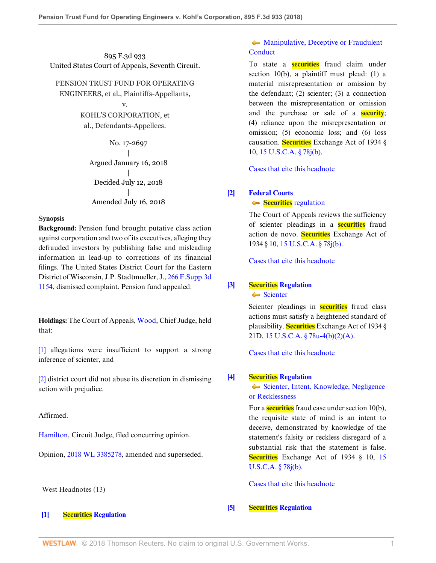# 895 F.3d 933 United States Court of Appeals, Seventh Circuit.

## PENSION TRUST FUND FOR OPERATING

ENGINEERS, et al., Plaintiffs-Appellants,

# v.

KOHL'S CORPORATION, et al., Defendants-Appellees.

No. 17-2697 | Argued January 16, 2018 | Decided July 12, 2018 | Amended July 16, 2018

## **Synopsis**

**Background:** Pension fund brought putative class action against corporation and two of its executives, alleging they defrauded investors by publishing false and misleading information in lead-up to corrections of its financial filings. The United States District Court for the Eastern District of Wisconsin, J.P. Stadtmueller, J., [266 F.Supp.3d](http://www.westlaw.com/Link/Document/FullText?findType=Y&serNum=2042198708&pubNum=0007903&originatingDoc=Ie706b960891b11e8a5b89e7029628dd3&refType=RP&originationContext=document&vr=3.0&rs=cblt1.0&transitionType=DocumentItem&contextData=(sc.Search)) [1154](http://www.westlaw.com/Link/Document/FullText?findType=Y&serNum=2042198708&pubNum=0007903&originatingDoc=Ie706b960891b11e8a5b89e7029628dd3&refType=RP&originationContext=document&vr=3.0&rs=cblt1.0&transitionType=DocumentItem&contextData=(sc.Search)), dismissed complaint. Pension fund appealed.

**Holdings:** The Court of Appeals, [Wood](http://www.westlaw.com/Link/Document/FullText?findType=h&pubNum=176284&cite=0248033701&originatingDoc=Ie706b960891b11e8a5b89e7029628dd3&refType=RQ&originationContext=document&vr=3.0&rs=cblt1.0&transitionType=DocumentItem&contextData=(sc.Search)), Chief Judge, held that:

[\[1\]](#page-1-0) allegations were insufficient to support a strong inference of scienter, and

[\[2\]](#page-2-0) district court did not abuse its discretion in dismissing action with prejudice.

## Affirmed.

[Hamilton](http://www.westlaw.com/Link/Document/FullText?findType=h&pubNum=176284&cite=0184945601&originatingDoc=Ie706b960891b11e8a5b89e7029628dd3&refType=RQ&originationContext=document&vr=3.0&rs=cblt1.0&transitionType=DocumentItem&contextData=(sc.Search)), Circuit Judge, filed concurring opinion.

Opinion, [2018 WL 3385278,](http://www.westlaw.com/Link/Document/FullText?findType=Y&serNum=2044969359&pubNum=0000999&originatingDoc=Ie706b960891b11e8a5b89e7029628dd3&refType=RP&originationContext=document&vr=3.0&rs=cblt1.0&transitionType=DocumentItem&contextData=(sc.Search)) amended and superseded.

## West Headnotes (13)

<span id="page-0-0"></span>**[\[1\]](#page-3-0) [Securities Regulation](http://www.westlaw.com/Browse/Home/KeyNumber/349B/View.html?docGuid=Ie706b960891b11e8a5b89e7029628dd3&originationContext=document&vr=3.0&rs=cblt1.0&transitionType=DocumentItem&contextData=(sc.Search))**

# • [Manipulative, Deceptive or Fraudulent](http://www.westlaw.com/Browse/Home/KeyNumber/349Bk60.17/View.html?docGuid=Ie706b960891b11e8a5b89e7029628dd3&originationContext=document&vr=3.0&rs=cblt1.0&transitionType=DocumentItem&contextData=(sc.Search)) **[Conduct](http://www.westlaw.com/Browse/Home/KeyNumber/349Bk60.17/View.html?docGuid=Ie706b960891b11e8a5b89e7029628dd3&originationContext=document&vr=3.0&rs=cblt1.0&transitionType=DocumentItem&contextData=(sc.Search))**

To state a **securities** fraud claim under section 10(b), a plaintiff must plead: (1) a material misrepresentation or omission by the defendant; (2) scienter; (3) a connection between the misrepresentation or omission and the purchase or sale of a **security**; (4) reliance upon the misrepresentation or omission; (5) economic loss; and (6) loss causation. **Securities** Exchange Act of 1934 § 10, [15 U.S.C.A. § 78j\(b\)](http://www.westlaw.com/Link/Document/FullText?findType=L&pubNum=1000546&cite=15USCAS78J&originatingDoc=Ie706b960891b11e8a5b89e7029628dd3&refType=SP&originationContext=document&vr=3.0&rs=cblt1.0&transitionType=DocumentItem&contextData=(sc.Search)#co_pp_a83b000018c76).

[Cases that cite this headnote](http://www.westlaw.com/Link/RelatedInformation/DocHeadnoteLink?docGuid=Ie706b960891b11e8a5b89e7029628dd3&headnoteId=204499854600120180810035924&originationContext=document&vr=3.0&rs=cblt1.0&transitionType=CitingReferences&contextData=(sc.Search))

# <span id="page-0-1"></span>**[\[2\]](#page-3-1) [Federal Courts](http://www.westlaw.com/Browse/Home/KeyNumber/170B/View.html?docGuid=Ie706b960891b11e8a5b89e7029628dd3&originationContext=document&vr=3.0&rs=cblt1.0&transitionType=DocumentItem&contextData=(sc.Search))**

**Securities** [regulation](http://www.westlaw.com/Browse/Home/KeyNumber/170Bk3634(6)/View.html?docGuid=Ie706b960891b11e8a5b89e7029628dd3&originationContext=document&vr=3.0&rs=cblt1.0&transitionType=DocumentItem&contextData=(sc.Search))

The Court of Appeals reviews the sufficiency of scienter pleadings in a **securities** fraud action de novo. **Securities** Exchange Act of 1934 § 10, [15 U.S.C.A. § 78j\(b\)](http://www.westlaw.com/Link/Document/FullText?findType=L&pubNum=1000546&cite=15USCAS78J&originatingDoc=Ie706b960891b11e8a5b89e7029628dd3&refType=SP&originationContext=document&vr=3.0&rs=cblt1.0&transitionType=DocumentItem&contextData=(sc.Search)#co_pp_a83b000018c76).

[Cases that cite this headnote](http://www.westlaw.com/Link/RelatedInformation/DocHeadnoteLink?docGuid=Ie706b960891b11e8a5b89e7029628dd3&headnoteId=204499854600220180810035924&originationContext=document&vr=3.0&rs=cblt1.0&transitionType=CitingReferences&contextData=(sc.Search))

# <span id="page-0-2"></span>**[\[3\]](#page-3-2) [Securities Regulation](http://www.westlaw.com/Browse/Home/KeyNumber/349B/View.html?docGuid=Ie706b960891b11e8a5b89e7029628dd3&originationContext=document&vr=3.0&rs=cblt1.0&transitionType=DocumentItem&contextData=(sc.Search))**

[Scienter](http://www.westlaw.com/Browse/Home/KeyNumber/349Bk60.51(2)/View.html?docGuid=Ie706b960891b11e8a5b89e7029628dd3&originationContext=document&vr=3.0&rs=cblt1.0&transitionType=DocumentItem&contextData=(sc.Search))

Scienter pleadings in **securities** fraud class actions must satisfy a heightened standard of plausibility. **Securities** Exchange Act of 1934 § 21D, [15 U.S.C.A. § 78u-4\(b\)\(2\)\(A\).](http://www.westlaw.com/Link/Document/FullText?findType=L&pubNum=1000546&cite=15USCAS78U-4&originatingDoc=Ie706b960891b11e8a5b89e7029628dd3&refType=SP&originationContext=document&vr=3.0&rs=cblt1.0&transitionType=DocumentItem&contextData=(sc.Search)#co_pp_1eca000045f07)

[Cases that cite this headnote](http://www.westlaw.com/Link/RelatedInformation/DocHeadnoteLink?docGuid=Ie706b960891b11e8a5b89e7029628dd3&headnoteId=204499854600320180810035924&originationContext=document&vr=3.0&rs=cblt1.0&transitionType=CitingReferences&contextData=(sc.Search))

## <span id="page-0-3"></span>**[\[4\]](#page-3-3) [Securities Regulation](http://www.westlaw.com/Browse/Home/KeyNumber/349B/View.html?docGuid=Ie706b960891b11e8a5b89e7029628dd3&originationContext=document&vr=3.0&rs=cblt1.0&transitionType=DocumentItem&contextData=(sc.Search))**

[Scienter, Intent, Knowledge, Negligence](http://www.westlaw.com/Browse/Home/KeyNumber/349Bk60.45/View.html?docGuid=Ie706b960891b11e8a5b89e7029628dd3&originationContext=document&vr=3.0&rs=cblt1.0&transitionType=DocumentItem&contextData=(sc.Search)) [or Recklessness](http://www.westlaw.com/Browse/Home/KeyNumber/349Bk60.45/View.html?docGuid=Ie706b960891b11e8a5b89e7029628dd3&originationContext=document&vr=3.0&rs=cblt1.0&transitionType=DocumentItem&contextData=(sc.Search))

For a **securities** fraud case under section 10(b), the requisite state of mind is an intent to deceive, demonstrated by knowledge of the statement's falsity or reckless disregard of a substantial risk that the statement is false. **Securities** Exchange Act of 1934 § 10, [15](http://www.westlaw.com/Link/Document/FullText?findType=L&pubNum=1000546&cite=15USCAS78J&originatingDoc=Ie706b960891b11e8a5b89e7029628dd3&refType=SP&originationContext=document&vr=3.0&rs=cblt1.0&transitionType=DocumentItem&contextData=(sc.Search)#co_pp_a83b000018c76) [U.S.C.A. § 78j\(b\).](http://www.westlaw.com/Link/Document/FullText?findType=L&pubNum=1000546&cite=15USCAS78J&originatingDoc=Ie706b960891b11e8a5b89e7029628dd3&refType=SP&originationContext=document&vr=3.0&rs=cblt1.0&transitionType=DocumentItem&contextData=(sc.Search)#co_pp_a83b000018c76)

[Cases that cite this headnote](http://www.westlaw.com/Link/RelatedInformation/DocHeadnoteLink?docGuid=Ie706b960891b11e8a5b89e7029628dd3&headnoteId=204499854600420180810035924&originationContext=document&vr=3.0&rs=cblt1.0&transitionType=CitingReferences&contextData=(sc.Search))

## <span id="page-0-4"></span>**[\[5\]](#page-3-4) [Securities Regulation](http://www.westlaw.com/Browse/Home/KeyNumber/349B/View.html?docGuid=Ie706b960891b11e8a5b89e7029628dd3&originationContext=document&vr=3.0&rs=cblt1.0&transitionType=DocumentItem&contextData=(sc.Search))**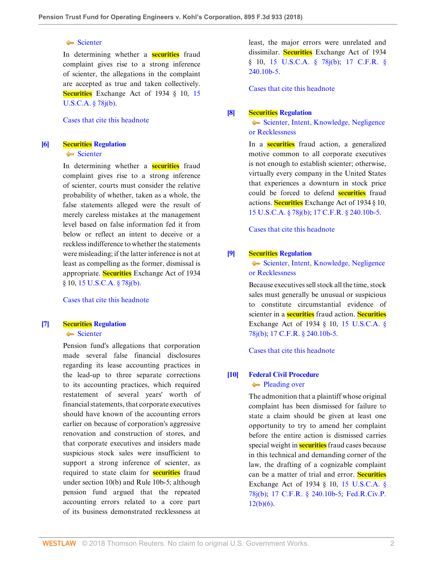#### [Scienter](http://www.westlaw.com/Browse/Home/KeyNumber/349Bk60.51(2)/View.html?docGuid=Ie706b960891b11e8a5b89e7029628dd3&originationContext=document&vr=3.0&rs=cblt1.0&transitionType=DocumentItem&contextData=(sc.Search))

In determining whether a **securities** fraud complaint gives rise to a strong inference of scienter, the allegations in the complaint are accepted as true and taken collectively. **Securities** Exchange Act of 1934 § 10, [15](http://www.westlaw.com/Link/Document/FullText?findType=L&pubNum=1000546&cite=15USCAS78J&originatingDoc=Ie706b960891b11e8a5b89e7029628dd3&refType=SP&originationContext=document&vr=3.0&rs=cblt1.0&transitionType=DocumentItem&contextData=(sc.Search)#co_pp_a83b000018c76) [U.S.C.A. § 78j\(b\).](http://www.westlaw.com/Link/Document/FullText?findType=L&pubNum=1000546&cite=15USCAS78J&originatingDoc=Ie706b960891b11e8a5b89e7029628dd3&refType=SP&originationContext=document&vr=3.0&rs=cblt1.0&transitionType=DocumentItem&contextData=(sc.Search)#co_pp_a83b000018c76)

#### [Cases that cite this headnote](http://www.westlaw.com/Link/RelatedInformation/DocHeadnoteLink?docGuid=Ie706b960891b11e8a5b89e7029628dd3&headnoteId=204499854600520180810035924&originationContext=document&vr=3.0&rs=cblt1.0&transitionType=CitingReferences&contextData=(sc.Search))

## <span id="page-1-1"></span>**[\[6\]](#page-3-5) [Securities Regulation](http://www.westlaw.com/Browse/Home/KeyNumber/349B/View.html?docGuid=Ie706b960891b11e8a5b89e7029628dd3&originationContext=document&vr=3.0&rs=cblt1.0&transitionType=DocumentItem&contextData=(sc.Search))**

#### [Scienter](http://www.westlaw.com/Browse/Home/KeyNumber/349Bk60.51(2)/View.html?docGuid=Ie706b960891b11e8a5b89e7029628dd3&originationContext=document&vr=3.0&rs=cblt1.0&transitionType=DocumentItem&contextData=(sc.Search))

In determining whether a **securities** fraud complaint gives rise to a strong inference of scienter, courts must consider the relative probability of whether, taken as a whole, the false statements alleged were the result of merely careless mistakes at the management level based on false information fed it from below or reflect an intent to deceive or a reckless indifference to whether the statements were misleading; if the latter inference is not at least as compelling as the former, dismissal is appropriate. **Securities** Exchange Act of 1934 § 10, [15 U.S.C.A. § 78j\(b\).](http://www.westlaw.com/Link/Document/FullText?findType=L&pubNum=1000546&cite=15USCAS78J&originatingDoc=Ie706b960891b11e8a5b89e7029628dd3&refType=SP&originationContext=document&vr=3.0&rs=cblt1.0&transitionType=DocumentItem&contextData=(sc.Search)#co_pp_a83b000018c76)

#### [Cases that cite this headnote](http://www.westlaw.com/Link/RelatedInformation/DocHeadnoteLink?docGuid=Ie706b960891b11e8a5b89e7029628dd3&headnoteId=204499854600620180810035924&originationContext=document&vr=3.0&rs=cblt1.0&transitionType=CitingReferences&contextData=(sc.Search))

#### <span id="page-1-0"></span>**[\[7\]](#page-5-0) [Securities Regulation](http://www.westlaw.com/Browse/Home/KeyNumber/349B/View.html?docGuid=Ie706b960891b11e8a5b89e7029628dd3&originationContext=document&vr=3.0&rs=cblt1.0&transitionType=DocumentItem&contextData=(sc.Search))** [Scienter](http://www.westlaw.com/Browse/Home/KeyNumber/349Bk60.51(2)/View.html?docGuid=Ie706b960891b11e8a5b89e7029628dd3&originationContext=document&vr=3.0&rs=cblt1.0&transitionType=DocumentItem&contextData=(sc.Search))

Pension fund's allegations that corporation made several false financial disclosures regarding its lease accounting practices in the lead-up to three separate corrections to its accounting practices, which required restatement of several years' worth of financial statements, that corporate executives should have known of the accounting errors earlier on because of corporation's aggressive renovation and construction of stores, and that corporate executives and insiders made suspicious stock sales were insufficient to support a strong inference of scienter, as required to state claim for **securities** fraud under section 10(b) and Rule 10b-5; although pension fund argued that the repeated accounting errors related to a core part of its business demonstrated recklessness at least, the major errors were unrelated and dissimilar. **Securities** Exchange Act of 1934 § 10, [15 U.S.C.A. § 78j\(b\);](http://www.westlaw.com/Link/Document/FullText?findType=L&pubNum=1000546&cite=15USCAS78J&originatingDoc=Ie706b960891b11e8a5b89e7029628dd3&refType=SP&originationContext=document&vr=3.0&rs=cblt1.0&transitionType=DocumentItem&contextData=(sc.Search)#co_pp_a83b000018c76) [17 C.F.R. §](http://www.westlaw.com/Link/Document/FullText?findType=L&pubNum=1000547&cite=17CFRS240.10B-5&originatingDoc=Ie706b960891b11e8a5b89e7029628dd3&refType=LQ&originationContext=document&vr=3.0&rs=cblt1.0&transitionType=DocumentItem&contextData=(sc.Search)) [240.10b-5](http://www.westlaw.com/Link/Document/FullText?findType=L&pubNum=1000547&cite=17CFRS240.10B-5&originatingDoc=Ie706b960891b11e8a5b89e7029628dd3&refType=LQ&originationContext=document&vr=3.0&rs=cblt1.0&transitionType=DocumentItem&contextData=(sc.Search)).

[Cases that cite this headnote](http://www.westlaw.com/Link/RelatedInformation/DocHeadnoteLink?docGuid=Ie706b960891b11e8a5b89e7029628dd3&headnoteId=204499854600720180810035924&originationContext=document&vr=3.0&rs=cblt1.0&transitionType=CitingReferences&contextData=(sc.Search))

#### <span id="page-1-2"></span>**[\[8\]](#page-5-1) [Securities Regulation](http://www.westlaw.com/Browse/Home/KeyNumber/349B/View.html?docGuid=Ie706b960891b11e8a5b89e7029628dd3&originationContext=document&vr=3.0&rs=cblt1.0&transitionType=DocumentItem&contextData=(sc.Search))**

[Scienter, Intent, Knowledge, Negligence](http://www.westlaw.com/Browse/Home/KeyNumber/349Bk60.45/View.html?docGuid=Ie706b960891b11e8a5b89e7029628dd3&originationContext=document&vr=3.0&rs=cblt1.0&transitionType=DocumentItem&contextData=(sc.Search)) [or Recklessness](http://www.westlaw.com/Browse/Home/KeyNumber/349Bk60.45/View.html?docGuid=Ie706b960891b11e8a5b89e7029628dd3&originationContext=document&vr=3.0&rs=cblt1.0&transitionType=DocumentItem&contextData=(sc.Search))

In a **securities** fraud action, a generalized motive common to all corporate executives is not enough to establish scienter; otherwise, virtually every company in the United States that experiences a downturn in stock price could be forced to defend **securities** fraud actions. **Securities** Exchange Act of 1934 § 10, [15 U.S.C.A. § 78j\(b\)](http://www.westlaw.com/Link/Document/FullText?findType=L&pubNum=1000546&cite=15USCAS78J&originatingDoc=Ie706b960891b11e8a5b89e7029628dd3&refType=SP&originationContext=document&vr=3.0&rs=cblt1.0&transitionType=DocumentItem&contextData=(sc.Search)#co_pp_a83b000018c76); [17 C.F.R. § 240.10b-5](http://www.westlaw.com/Link/Document/FullText?findType=L&pubNum=1000547&cite=17CFRS240.10B-5&originatingDoc=Ie706b960891b11e8a5b89e7029628dd3&refType=LQ&originationContext=document&vr=3.0&rs=cblt1.0&transitionType=DocumentItem&contextData=(sc.Search)).

[Cases that cite this headnote](http://www.westlaw.com/Link/RelatedInformation/DocHeadnoteLink?docGuid=Ie706b960891b11e8a5b89e7029628dd3&headnoteId=204499854600820180810035924&originationContext=document&vr=3.0&rs=cblt1.0&transitionType=CitingReferences&contextData=(sc.Search))

#### <span id="page-1-3"></span>**[\[9\]](#page-6-0) [Securities Regulation](http://www.westlaw.com/Browse/Home/KeyNumber/349B/View.html?docGuid=Ie706b960891b11e8a5b89e7029628dd3&originationContext=document&vr=3.0&rs=cblt1.0&transitionType=DocumentItem&contextData=(sc.Search))**

[Scienter, Intent, Knowledge, Negligence](http://www.westlaw.com/Browse/Home/KeyNumber/349Bk60.45/View.html?docGuid=Ie706b960891b11e8a5b89e7029628dd3&originationContext=document&vr=3.0&rs=cblt1.0&transitionType=DocumentItem&contextData=(sc.Search)) [or Recklessness](http://www.westlaw.com/Browse/Home/KeyNumber/349Bk60.45/View.html?docGuid=Ie706b960891b11e8a5b89e7029628dd3&originationContext=document&vr=3.0&rs=cblt1.0&transitionType=DocumentItem&contextData=(sc.Search))

Because executives sell stock all the time, stock sales must generally be unusual or suspicious to constitute circumstantial evidence of scienter in a **securities** fraud action. **Securities** Exchange Act of 1934 § 10, [15 U.S.C.A. §](http://www.westlaw.com/Link/Document/FullText?findType=L&pubNum=1000546&cite=15USCAS78J&originatingDoc=Ie706b960891b11e8a5b89e7029628dd3&refType=SP&originationContext=document&vr=3.0&rs=cblt1.0&transitionType=DocumentItem&contextData=(sc.Search)#co_pp_a83b000018c76) [78j\(b\)](http://www.westlaw.com/Link/Document/FullText?findType=L&pubNum=1000546&cite=15USCAS78J&originatingDoc=Ie706b960891b11e8a5b89e7029628dd3&refType=SP&originationContext=document&vr=3.0&rs=cblt1.0&transitionType=DocumentItem&contextData=(sc.Search)#co_pp_a83b000018c76); [17 C.F.R. § 240.10b-5](http://www.westlaw.com/Link/Document/FullText?findType=L&pubNum=1000547&cite=17CFRS240.10B-5&originatingDoc=Ie706b960891b11e8a5b89e7029628dd3&refType=LQ&originationContext=document&vr=3.0&rs=cblt1.0&transitionType=DocumentItem&contextData=(sc.Search)).

[Cases that cite this headnote](http://www.westlaw.com/Link/RelatedInformation/DocHeadnoteLink?docGuid=Ie706b960891b11e8a5b89e7029628dd3&headnoteId=204499854600920180810035924&originationContext=document&vr=3.0&rs=cblt1.0&transitionType=CitingReferences&contextData=(sc.Search))

## <span id="page-1-4"></span>**[\[10\]](#page-6-1) [Federal Civil Procedure](http://www.westlaw.com/Browse/Home/KeyNumber/170A/View.html?docGuid=Ie706b960891b11e8a5b89e7029628dd3&originationContext=document&vr=3.0&rs=cblt1.0&transitionType=DocumentItem&contextData=(sc.Search)) [Pleading over](http://www.westlaw.com/Browse/Home/KeyNumber/170Ak1838/View.html?docGuid=Ie706b960891b11e8a5b89e7029628dd3&originationContext=document&vr=3.0&rs=cblt1.0&transitionType=DocumentItem&contextData=(sc.Search))**

The admonition that a plaintiff whose original complaint has been dismissed for failure to state a claim should be given at least one opportunity to try to amend her complaint before the entire action is dismissed carries special weight in **securities** fraud cases because in this technical and demanding corner of the law, the drafting of a cognizable complaint can be a matter of trial and error. **Securities** Exchange Act of 1934 § 10, [15 U.S.C.A. §](http://www.westlaw.com/Link/Document/FullText?findType=L&pubNum=1000546&cite=15USCAS78J&originatingDoc=Ie706b960891b11e8a5b89e7029628dd3&refType=SP&originationContext=document&vr=3.0&rs=cblt1.0&transitionType=DocumentItem&contextData=(sc.Search)#co_pp_a83b000018c76) [78j\(b\)](http://www.westlaw.com/Link/Document/FullText?findType=L&pubNum=1000546&cite=15USCAS78J&originatingDoc=Ie706b960891b11e8a5b89e7029628dd3&refType=SP&originationContext=document&vr=3.0&rs=cblt1.0&transitionType=DocumentItem&contextData=(sc.Search)#co_pp_a83b000018c76); [17 C.F.R. § 240.10b-5](http://www.westlaw.com/Link/Document/FullText?findType=L&pubNum=1000547&cite=17CFRS240.10B-5&originatingDoc=Ie706b960891b11e8a5b89e7029628dd3&refType=LQ&originationContext=document&vr=3.0&rs=cblt1.0&transitionType=DocumentItem&contextData=(sc.Search)); [Fed.R.Civ.P.](http://www.westlaw.com/Link/Document/FullText?findType=L&pubNum=1000600&cite=USFRCPR12&originatingDoc=Ie706b960891b11e8a5b89e7029628dd3&refType=LQ&originationContext=document&vr=3.0&rs=cblt1.0&transitionType=DocumentItem&contextData=(sc.Search))  $12(b)(6)$ .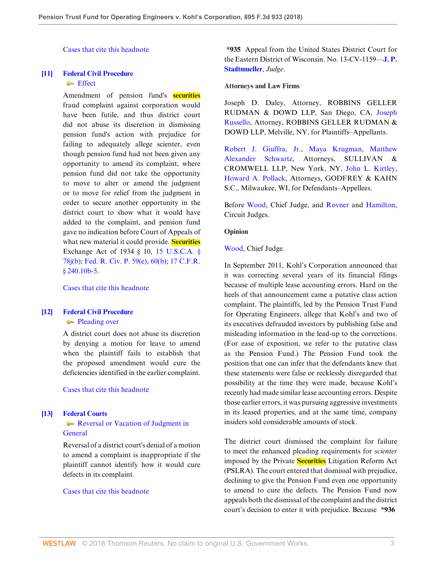[Cases that cite this headnote](http://www.westlaw.com/Link/RelatedInformation/DocHeadnoteLink?docGuid=Ie706b960891b11e8a5b89e7029628dd3&headnoteId=204499854601020180810035924&originationContext=document&vr=3.0&rs=cblt1.0&transitionType=CitingReferences&contextData=(sc.Search))

# <span id="page-2-0"></span>**[\[11\]](#page-6-2) [Federal Civil Procedure](http://www.westlaw.com/Browse/Home/KeyNumber/170A/View.html?docGuid=Ie706b960891b11e8a5b89e7029628dd3&originationContext=document&vr=3.0&rs=cblt1.0&transitionType=DocumentItem&contextData=(sc.Search))**

# **[Effect](http://www.westlaw.com/Browse/Home/KeyNumber/170Ak1837/View.html?docGuid=Ie706b960891b11e8a5b89e7029628dd3&originationContext=document&vr=3.0&rs=cblt1.0&transitionType=DocumentItem&contextData=(sc.Search))**

Amendment of pension fund's **securities** fraud complaint against corporation would have been futile, and thus district court did not abuse its discretion in dismissing pension fund's action with prejudice for failing to adequately allege scienter, even though pension fund had not been given any opportunity to amend its complaint, where pension fund did not take the opportunity to move to alter or amend the judgment or to move for relief from the judgment in order to secure another opportunity in the district court to show what it would have added to the complaint, and pension fund gave no indication before Court of Appeals of what new material it could provide. **Securities** Exchange Act of 1934 § 10, [15 U.S.C.A. §](http://www.westlaw.com/Link/Document/FullText?findType=L&pubNum=1000546&cite=15USCAS78J&originatingDoc=Ie706b960891b11e8a5b89e7029628dd3&refType=SP&originationContext=document&vr=3.0&rs=cblt1.0&transitionType=DocumentItem&contextData=(sc.Search)#co_pp_a83b000018c76) [78j\(b\)](http://www.westlaw.com/Link/Document/FullText?findType=L&pubNum=1000546&cite=15USCAS78J&originatingDoc=Ie706b960891b11e8a5b89e7029628dd3&refType=SP&originationContext=document&vr=3.0&rs=cblt1.0&transitionType=DocumentItem&contextData=(sc.Search)#co_pp_a83b000018c76); [Fed. R. Civ. P. 59\(e\)](http://www.westlaw.com/Link/Document/FullText?findType=L&pubNum=1000600&cite=USFRCPR59&originatingDoc=Ie706b960891b11e8a5b89e7029628dd3&refType=LQ&originationContext=document&vr=3.0&rs=cblt1.0&transitionType=DocumentItem&contextData=(sc.Search)), [60\(b\);](http://www.westlaw.com/Link/Document/FullText?findType=L&pubNum=1000600&cite=USFRCPR60&originatingDoc=Ie706b960891b11e8a5b89e7029628dd3&refType=LQ&originationContext=document&vr=3.0&rs=cblt1.0&transitionType=DocumentItem&contextData=(sc.Search)) [17 C.F.R.](http://www.westlaw.com/Link/Document/FullText?findType=L&pubNum=1000547&cite=17CFRS240.10B-5&originatingDoc=Ie706b960891b11e8a5b89e7029628dd3&refType=LQ&originationContext=document&vr=3.0&rs=cblt1.0&transitionType=DocumentItem&contextData=(sc.Search)) [§ 240.10b-5](http://www.westlaw.com/Link/Document/FullText?findType=L&pubNum=1000547&cite=17CFRS240.10B-5&originatingDoc=Ie706b960891b11e8a5b89e7029628dd3&refType=LQ&originationContext=document&vr=3.0&rs=cblt1.0&transitionType=DocumentItem&contextData=(sc.Search)).

[Cases that cite this headnote](http://www.westlaw.com/Link/RelatedInformation/DocHeadnoteLink?docGuid=Ie706b960891b11e8a5b89e7029628dd3&headnoteId=204499854601120180810035924&originationContext=document&vr=3.0&rs=cblt1.0&transitionType=CitingReferences&contextData=(sc.Search))

# <span id="page-2-1"></span>**[\[12\]](#page-7-0) [Federal Civil Procedure](http://www.westlaw.com/Browse/Home/KeyNumber/170A/View.html?docGuid=Ie706b960891b11e8a5b89e7029628dd3&originationContext=document&vr=3.0&rs=cblt1.0&transitionType=DocumentItem&contextData=(sc.Search))**

# **[Pleading over](http://www.westlaw.com/Browse/Home/KeyNumber/170Ak1838/View.html?docGuid=Ie706b960891b11e8a5b89e7029628dd3&originationContext=document&vr=3.0&rs=cblt1.0&transitionType=DocumentItem&contextData=(sc.Search))**

A district court does not abuse its discretion by denying a motion for leave to amend when the plaintiff fails to establish that the proposed amendment would cure the deficiencies identified in the earlier complaint.

[Cases that cite this headnote](http://www.westlaw.com/Link/RelatedInformation/DocHeadnoteLink?docGuid=Ie706b960891b11e8a5b89e7029628dd3&headnoteId=204499854601220180810035924&originationContext=document&vr=3.0&rs=cblt1.0&transitionType=CitingReferences&contextData=(sc.Search))

#### <span id="page-2-2"></span>**[\[13\]](#page-7-1) [Federal Courts](http://www.westlaw.com/Browse/Home/KeyNumber/170B/View.html?docGuid=Ie706b960891b11e8a5b89e7029628dd3&originationContext=document&vr=3.0&rs=cblt1.0&transitionType=DocumentItem&contextData=(sc.Search))**

## [Reversal or Vacation of Judgment in](http://www.westlaw.com/Browse/Home/KeyNumber/170Bk3772/View.html?docGuid=Ie706b960891b11e8a5b89e7029628dd3&originationContext=document&vr=3.0&rs=cblt1.0&transitionType=DocumentItem&contextData=(sc.Search)) [General](http://www.westlaw.com/Browse/Home/KeyNumber/170Bk3772/View.html?docGuid=Ie706b960891b11e8a5b89e7029628dd3&originationContext=document&vr=3.0&rs=cblt1.0&transitionType=DocumentItem&contextData=(sc.Search))

Reversal of a district court's denial of a motion to amend a complaint is inappropriate if the plaintiff cannot identify how it would cure defects in its complaint.

#### [Cases that cite this headnote](http://www.westlaw.com/Link/RelatedInformation/DocHeadnoteLink?docGuid=Ie706b960891b11e8a5b89e7029628dd3&headnoteId=204499854601320180810035924&originationContext=document&vr=3.0&rs=cblt1.0&transitionType=CitingReferences&contextData=(sc.Search))

**\*935** Appeal from the United States District Court for the Eastern District of Wisconsin. No. 13-CV-1159—**[J. P.](http://www.westlaw.com/Link/Document/FullText?findType=h&pubNum=176284&cite=0240234601&originatingDoc=Ie706b960891b11e8a5b89e7029628dd3&refType=RQ&originationContext=document&vr=3.0&rs=cblt1.0&transitionType=DocumentItem&contextData=(sc.Search)) [Stadtmueller](http://www.westlaw.com/Link/Document/FullText?findType=h&pubNum=176284&cite=0240234601&originatingDoc=Ie706b960891b11e8a5b89e7029628dd3&refType=RQ&originationContext=document&vr=3.0&rs=cblt1.0&transitionType=DocumentItem&contextData=(sc.Search))**, *Judge*.

#### **Attorneys and Law Firms**

Joseph D. Daley, Attorney, ROBBINS GELLER RUDMAN & DOWD LLP, San Diego, CA, [Joseph](http://www.westlaw.com/Link/Document/FullText?findType=h&pubNum=176284&cite=0357144101&originatingDoc=Ie706b960891b11e8a5b89e7029628dd3&refType=RQ&originationContext=document&vr=3.0&rs=cblt1.0&transitionType=DocumentItem&contextData=(sc.Search)) [Russello](http://www.westlaw.com/Link/Document/FullText?findType=h&pubNum=176284&cite=0357144101&originatingDoc=Ie706b960891b11e8a5b89e7029628dd3&refType=RQ&originationContext=document&vr=3.0&rs=cblt1.0&transitionType=DocumentItem&contextData=(sc.Search)), Attorney, ROBBINS GELLER RUDMAN & DOWD LLP, Melville, NY, for Plaintiffs–Appellants.

[Robert J. Giuffra, Jr.,](http://www.westlaw.com/Link/Document/FullText?findType=h&pubNum=176284&cite=0193743201&originatingDoc=Ie706b960891b11e8a5b89e7029628dd3&refType=RQ&originationContext=document&vr=3.0&rs=cblt1.0&transitionType=DocumentItem&contextData=(sc.Search)) [Maya Krugman](http://www.westlaw.com/Link/Document/FullText?findType=h&pubNum=176284&cite=0435483301&originatingDoc=Ie706b960891b11e8a5b89e7029628dd3&refType=RQ&originationContext=document&vr=3.0&rs=cblt1.0&transitionType=DocumentItem&contextData=(sc.Search)), [Matthew](http://www.westlaw.com/Link/Document/FullText?findType=h&pubNum=176284&cite=0320970401&originatingDoc=Ie706b960891b11e8a5b89e7029628dd3&refType=RQ&originationContext=document&vr=3.0&rs=cblt1.0&transitionType=DocumentItem&contextData=(sc.Search)) [Alexander Schwartz,](http://www.westlaw.com/Link/Document/FullText?findType=h&pubNum=176284&cite=0320970401&originatingDoc=Ie706b960891b11e8a5b89e7029628dd3&refType=RQ&originationContext=document&vr=3.0&rs=cblt1.0&transitionType=DocumentItem&contextData=(sc.Search)) Attorneys, SULLIVAN & CROMWELL LLP, New York, NY, [John L. Kirtley](http://www.westlaw.com/Link/Document/FullText?findType=h&pubNum=176284&cite=0113621501&originatingDoc=Ie706b960891b11e8a5b89e7029628dd3&refType=RQ&originationContext=document&vr=3.0&rs=cblt1.0&transitionType=DocumentItem&contextData=(sc.Search)), [Howard A. Pollack,](http://www.westlaw.com/Link/Document/FullText?findType=h&pubNum=176284&cite=0188019201&originatingDoc=Ie706b960891b11e8a5b89e7029628dd3&refType=RQ&originationContext=document&vr=3.0&rs=cblt1.0&transitionType=DocumentItem&contextData=(sc.Search)) Attorneys, GODFREY & KAHN S.C., Milwaukee, WI, for Defendants–Appellees.

Before [Wood](http://www.westlaw.com/Link/Document/FullText?findType=h&pubNum=176284&cite=0248033701&originatingDoc=Ie706b960891b11e8a5b89e7029628dd3&refType=RQ&originationContext=document&vr=3.0&rs=cblt1.0&transitionType=DocumentItem&contextData=(sc.Search)), Chief Judge, and [Rovner](http://www.westlaw.com/Link/Document/FullText?findType=h&pubNum=176284&cite=0201329001&originatingDoc=Ie706b960891b11e8a5b89e7029628dd3&refType=RQ&originationContext=document&vr=3.0&rs=cblt1.0&transitionType=DocumentItem&contextData=(sc.Search)) and [Hamilton](http://www.westlaw.com/Link/Document/FullText?findType=h&pubNum=176284&cite=0184945601&originatingDoc=Ie706b960891b11e8a5b89e7029628dd3&refType=RQ&originationContext=document&vr=3.0&rs=cblt1.0&transitionType=DocumentItem&contextData=(sc.Search)), Circuit Judges.

## **Opinion**

[Wood](http://www.westlaw.com/Link/Document/FullText?findType=h&pubNum=176284&cite=0248033701&originatingDoc=Ie706b960891b11e8a5b89e7029628dd3&refType=RQ&originationContext=document&vr=3.0&rs=cblt1.0&transitionType=DocumentItem&contextData=(sc.Search)), Chief Judge.

In September 2011, Kohl's Corporation announced that it was correcting several years of its financial filings because of multiple lease accounting errors. Hard on the heels of that announcement came a putative class action complaint. The plaintiffs, led by the Pension Trust Fund for Operating Engineers, allege that Kohl's and two of its executives defrauded investors by publishing false and misleading information in the lead-up to the corrections. (For ease of exposition, we refer to the putative class as the Pension Fund.) The Pension Fund took the position that one can infer that the defendants knew that these statements were false or recklessly disregarded that possibility at the time they were made, because Kohl's recently had made similar lease accounting errors. Despite those earlier errors, it was pursuing aggressive investments in its leased properties, and at the same time, company insiders sold considerable amounts of stock.

The district court dismissed the complaint for failure to meet the enhanced pleading requirements for *scienter* imposed by the Private **Securities** Litigation Reform Act (PSLRA). The court entered that dismissal with prejudice, declining to give the Pension Fund even one opportunity to amend to cure the defects. The Pension Fund now appeals both the dismissal of the complaint and the district court's decision to enter it with prejudice. Because **\*936**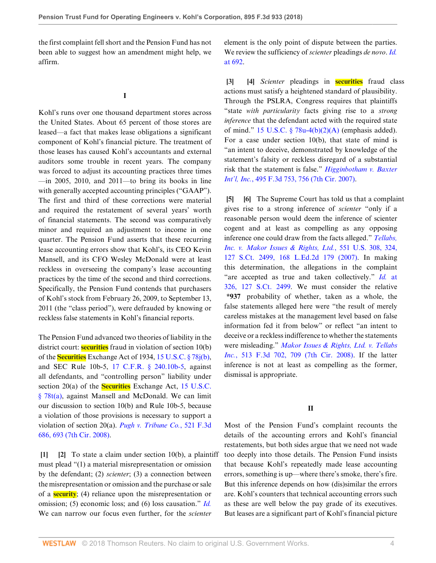the first complaint fell short and the Pension Fund has not been able to suggest how an amendment might help, we affirm.

#### **I**

Kohl's runs over one thousand department stores across the United States. About 65 percent of those stores are leased—a fact that makes lease obligations a significant component of Kohl's financial picture. The treatment of those leases has caused Kohl's accountants and external auditors some trouble in recent years. The company was forced to adjust its accounting practices three times —in 2005, 2010, and 2011—to bring its books in line with generally accepted accounting principles ("GAAP"). The first and third of these corrections were material and required the restatement of several years' worth of financial statements. The second was comparatively minor and required an adjustment to income in one quarter. The Pension Fund asserts that these recurring lease accounting errors show that Kohl's, its CEO Kevin Mansell, and its CFO Wesley McDonald were at least reckless in overseeing the company's lease accounting practices by the time of the second and third corrections. Specifically, the Pension Fund contends that purchasers of Kohl's stock from February 26, 2009, to September 13, 2011 (the "class period"), were defrauded by knowing or reckless false statements in Kohl's financial reports.

The Pension Fund advanced two theories of liability in the district court: **securities** fraud in violation of section 10(b) of the **Securities** Exchange Act of 1934, [15 U.S.C. § 78j\(b\)](http://www.westlaw.com/Link/Document/FullText?findType=L&pubNum=1000546&cite=15USCAS78J&originatingDoc=Ie706b960891b11e8a5b89e7029628dd3&refType=RB&originationContext=document&vr=3.0&rs=cblt1.0&transitionType=DocumentItem&contextData=(sc.Search)#co_pp_a83b000018c76), and SEC Rule 10b-5, [17 C.F.R. § 240.10b-5,](http://www.westlaw.com/Link/Document/FullText?findType=L&pubNum=1000547&cite=17CFRS240.10B-5&originatingDoc=Ie706b960891b11e8a5b89e7029628dd3&refType=LQ&originationContext=document&vr=3.0&rs=cblt1.0&transitionType=DocumentItem&contextData=(sc.Search)) against all defendants, and "controlling person" liability under section 20(a) of the **Securities** Exchange Act, [15 U.S.C.](http://www.westlaw.com/Link/Document/FullText?findType=L&pubNum=1000546&cite=15USCAS78T&originatingDoc=Ie706b960891b11e8a5b89e7029628dd3&refType=RB&originationContext=document&vr=3.0&rs=cblt1.0&transitionType=DocumentItem&contextData=(sc.Search)#co_pp_8b3b0000958a4) [§ 78t\(a\),](http://www.westlaw.com/Link/Document/FullText?findType=L&pubNum=1000546&cite=15USCAS78T&originatingDoc=Ie706b960891b11e8a5b89e7029628dd3&refType=RB&originationContext=document&vr=3.0&rs=cblt1.0&transitionType=DocumentItem&contextData=(sc.Search)#co_pp_8b3b0000958a4) against Mansell and McDonald. We can limit our discussion to section 10(b) and Rule 10b-5, because a violation of those provisions is necessary to support a violation of section 20(a). *[Pugh v. Tribune Co.](http://www.westlaw.com/Link/Document/FullText?findType=Y&serNum=2015659094&pubNum=0000506&originatingDoc=Ie706b960891b11e8a5b89e7029628dd3&refType=RP&fi=co_pp_sp_506_693&originationContext=document&vr=3.0&rs=cblt1.0&transitionType=DocumentItem&contextData=(sc.Search)#co_pp_sp_506_693)*, 521 F.3d [686, 693 \(7th Cir. 2008\).](http://www.westlaw.com/Link/Document/FullText?findType=Y&serNum=2015659094&pubNum=0000506&originatingDoc=Ie706b960891b11e8a5b89e7029628dd3&refType=RP&fi=co_pp_sp_506_693&originationContext=document&vr=3.0&rs=cblt1.0&transitionType=DocumentItem&contextData=(sc.Search)#co_pp_sp_506_693)

<span id="page-3-1"></span><span id="page-3-0"></span>**[\[1](#page-0-0)] [\[2](#page-0-1)]** To state a claim under section 10(b), a plaintiff must plead "(1) a material misrepresentation or omission by the defendant; (2) *scienter*; (3) a connection between the misrepresentation or omission and the purchase or sale of a **security**; (4) reliance upon the misrepresentation or omission; (5) economic loss; and (6) loss causation." *[Id.](http://www.westlaw.com/Link/Document/FullText?findType=Y&serNum=2015659094&pubNum=0000506&originatingDoc=Ie706b960891b11e8a5b89e7029628dd3&refType=RP&originationContext=document&vr=3.0&rs=cblt1.0&transitionType=DocumentItem&contextData=(sc.Search))* We can narrow our focus even further, for the *scienter*

element is the only point of dispute between the parties. We review the sufficiency of *scienter* pleadings *de novo*. *[Id.](http://www.westlaw.com/Link/Document/FullText?findType=Y&serNum=2015659094&pubNum=0000506&originatingDoc=Ie706b960891b11e8a5b89e7029628dd3&refType=RP&fi=co_pp_sp_506_692&originationContext=document&vr=3.0&rs=cblt1.0&transitionType=DocumentItem&contextData=(sc.Search)#co_pp_sp_506_692)* [at 692.](http://www.westlaw.com/Link/Document/FullText?findType=Y&serNum=2015659094&pubNum=0000506&originatingDoc=Ie706b960891b11e8a5b89e7029628dd3&refType=RP&fi=co_pp_sp_506_692&originationContext=document&vr=3.0&rs=cblt1.0&transitionType=DocumentItem&contextData=(sc.Search)#co_pp_sp_506_692)

<span id="page-3-3"></span><span id="page-3-2"></span>**[\[3](#page-0-2)] [\[4\]](#page-0-3)** *Scienter* pleadings in **securities** fraud class actions must satisfy a heightened standard of plausibility. Through the PSLRA, Congress requires that plaintiffs "state *with particularity* facts giving rise to a *strong inference* that the defendant acted with the required state of mind." 15 U.S.C.  $\S$  78u-4(b)(2)(A) (emphasis added). For a case under section 10(b), that state of mind is "an intent to deceive, demonstrated by knowledge of the statement's falsity or reckless disregard of a substantial risk that the statement is false." *[Higginbotham v. Baxter](http://www.westlaw.com/Link/Document/FullText?findType=Y&serNum=2012793883&pubNum=0000506&originatingDoc=Ie706b960891b11e8a5b89e7029628dd3&refType=RP&fi=co_pp_sp_506_756&originationContext=document&vr=3.0&rs=cblt1.0&transitionType=DocumentItem&contextData=(sc.Search)#co_pp_sp_506_756) Int'l, Inc.*[, 495 F.3d 753, 756 \(7th Cir. 2007\).](http://www.westlaw.com/Link/Document/FullText?findType=Y&serNum=2012793883&pubNum=0000506&originatingDoc=Ie706b960891b11e8a5b89e7029628dd3&refType=RP&fi=co_pp_sp_506_756&originationContext=document&vr=3.0&rs=cblt1.0&transitionType=DocumentItem&contextData=(sc.Search)#co_pp_sp_506_756)

<span id="page-3-5"></span><span id="page-3-4"></span>**[\[5](#page-0-4)] [\[6\]](#page-1-1)** The Supreme Court has told us that a complaint gives rise to a strong inference of *scienter* "only if a reasonable person would deem the inference of scienter cogent and at least as compelling as any opposing inference one could draw from the facts alleged." *[Tellabs,](http://www.westlaw.com/Link/Document/FullText?findType=Y&serNum=2012518448&pubNum=0000708&originatingDoc=Ie706b960891b11e8a5b89e7029628dd3&refType=RP&originationContext=document&vr=3.0&rs=cblt1.0&transitionType=DocumentItem&contextData=(sc.Search)) [Inc. v. Makor Issues & Rights, Ltd.](http://www.westlaw.com/Link/Document/FullText?findType=Y&serNum=2012518448&pubNum=0000708&originatingDoc=Ie706b960891b11e8a5b89e7029628dd3&refType=RP&originationContext=document&vr=3.0&rs=cblt1.0&transitionType=DocumentItem&contextData=(sc.Search))*, 551 U.S. 308, 324, [127 S.Ct. 2499, 168 L.Ed.2d 179 \(2007\).](http://www.westlaw.com/Link/Document/FullText?findType=Y&serNum=2012518448&pubNum=0000708&originatingDoc=Ie706b960891b11e8a5b89e7029628dd3&refType=RP&originationContext=document&vr=3.0&rs=cblt1.0&transitionType=DocumentItem&contextData=(sc.Search)) In making this determination, the allegations in the complaint "are accepted as true and taken collectively." *Id.* [at](http://www.westlaw.com/Link/Document/FullText?findType=Y&serNum=2012518448&pubNum=0000708&originatingDoc=Ie706b960891b11e8a5b89e7029628dd3&refType=RP&originationContext=document&vr=3.0&rs=cblt1.0&transitionType=DocumentItem&contextData=(sc.Search)) [326, 127 S.Ct. 2499](http://www.westlaw.com/Link/Document/FullText?findType=Y&serNum=2012518448&pubNum=0000708&originatingDoc=Ie706b960891b11e8a5b89e7029628dd3&refType=RP&originationContext=document&vr=3.0&rs=cblt1.0&transitionType=DocumentItem&contextData=(sc.Search)). We must consider the relative **\*937** probability of whether, taken as a whole, the false statements alleged here were "the result of merely careless mistakes at the management level based on false information fed it from below" or reflect "an intent to deceive or a reckless indifference to whether the statements were misleading." *[Makor Issues & Rights, Ltd. v. Tellabs](http://www.westlaw.com/Link/Document/FullText?findType=Y&serNum=2014754943&pubNum=0000506&originatingDoc=Ie706b960891b11e8a5b89e7029628dd3&refType=RP&fi=co_pp_sp_506_709&originationContext=document&vr=3.0&rs=cblt1.0&transitionType=DocumentItem&contextData=(sc.Search)#co_pp_sp_506_709) Inc.*[, 513 F.3d 702, 709 \(7th Cir. 2008\)](http://www.westlaw.com/Link/Document/FullText?findType=Y&serNum=2014754943&pubNum=0000506&originatingDoc=Ie706b960891b11e8a5b89e7029628dd3&refType=RP&fi=co_pp_sp_506_709&originationContext=document&vr=3.0&rs=cblt1.0&transitionType=DocumentItem&contextData=(sc.Search)#co_pp_sp_506_709). If the latter inference is not at least as compelling as the former, dismissal is appropriate.

#### **II**

Most of the Pension Fund's complaint recounts the details of the accounting errors and Kohl's financial restatements, but both sides argue that we need not wade too deeply into those details. The Pension Fund insists that because Kohl's repeatedly made lease accounting errors, something is up—where there's smoke, there's fire. But this inference depends on how (dis)similar the errors are. Kohl's counters that technical accounting errors such as these are well below the pay grade of its executives. But leases are a significant part of Kohl's financial picture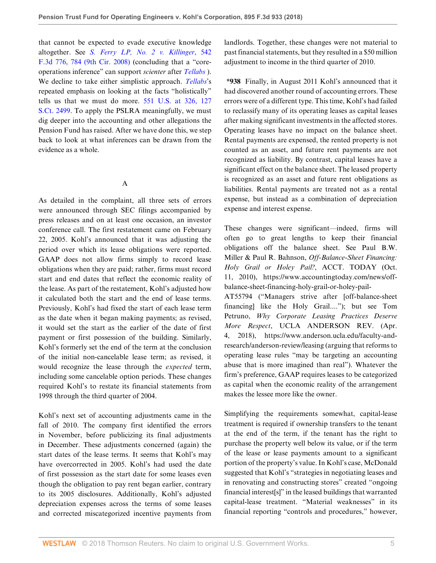that cannot be expected to evade executive knowledge altogether. See *[S. Ferry LP, No. 2 v. Killinger](http://www.westlaw.com/Link/Document/FullText?findType=Y&serNum=2016936038&pubNum=0000506&originatingDoc=Ie706b960891b11e8a5b89e7029628dd3&refType=RP&fi=co_pp_sp_506_784&originationContext=document&vr=3.0&rs=cblt1.0&transitionType=DocumentItem&contextData=(sc.Search)#co_pp_sp_506_784)*, 542 [F.3d 776, 784 \(9th Cir. 2008\)](http://www.westlaw.com/Link/Document/FullText?findType=Y&serNum=2016936038&pubNum=0000506&originatingDoc=Ie706b960891b11e8a5b89e7029628dd3&refType=RP&fi=co_pp_sp_506_784&originationContext=document&vr=3.0&rs=cblt1.0&transitionType=DocumentItem&contextData=(sc.Search)#co_pp_sp_506_784) (concluding that a "coreoperations inference" can support *scienter* after *[Tellabs](http://www.westlaw.com/Link/Document/FullText?findType=Y&serNum=2012518448&pubNum=0000780&originatingDoc=Ie706b960891b11e8a5b89e7029628dd3&refType=RP&originationContext=document&vr=3.0&rs=cblt1.0&transitionType=DocumentItem&contextData=(sc.Search))* ). We decline to take either simplistic approach. *[Tellabs](http://www.westlaw.com/Link/Document/FullText?findType=Y&serNum=2012518448&pubNum=0000780&originatingDoc=Ie706b960891b11e8a5b89e7029628dd3&refType=RP&originationContext=document&vr=3.0&rs=cblt1.0&transitionType=DocumentItem&contextData=(sc.Search))*'s repeated emphasis on looking at the facts "holistically" tells us that we must do more. [551 U.S. at 326, 127](http://www.westlaw.com/Link/Document/FullText?findType=Y&serNum=2012518448&pubNum=0000708&originatingDoc=Ie706b960891b11e8a5b89e7029628dd3&refType=RP&originationContext=document&vr=3.0&rs=cblt1.0&transitionType=DocumentItem&contextData=(sc.Search)) [S.Ct. 2499.](http://www.westlaw.com/Link/Document/FullText?findType=Y&serNum=2012518448&pubNum=0000708&originatingDoc=Ie706b960891b11e8a5b89e7029628dd3&refType=RP&originationContext=document&vr=3.0&rs=cblt1.0&transitionType=DocumentItem&contextData=(sc.Search)) To apply the PSLRA meaningfully, we must dig deeper into the accounting and other allegations the Pension Fund has raised. After we have done this, we step back to look at what inferences can be drawn from the evidence as a whole.

A

As detailed in the complaint, all three sets of errors were announced through SEC filings accompanied by press releases and on at least one occasion, an investor conference call. The first restatement came on February 22, 2005. Kohl's announced that it was adjusting the period over which its lease obligations were reported. GAAP does not allow firms simply to record lease obligations when they are paid; rather, firms must record start and end dates that reflect the economic reality of the lease. As part of the restatement, Kohl's adjusted how it calculated both the start and the end of lease terms. Previously, Kohl's had fixed the start of each lease term as the date when it began making payments; as revised, it would set the start as the earlier of the date of first payment or first possession of the building. Similarly, Kohl's formerly set the end of the term at the conclusion of the initial non-cancelable lease term; as revised, it would recognize the lease through the *expected* term, including some cancelable option periods. These changes required Kohl's to restate its financial statements from 1998 through the third quarter of 2004.

Kohl's next set of accounting adjustments came in the fall of 2010. The company first identified the errors in November, before publicizing its final adjustments in December. These adjustments concerned (again) the start dates of the lease terms. It seems that Kohl's may have overcorrected in 2005. Kohl's had used the date of first possession as the start date for some leases even though the obligation to pay rent began earlier, contrary to its 2005 disclosures. Additionally, Kohl's adjusted depreciation expenses across the terms of some leases and corrected miscategorized incentive payments from landlords. Together, these changes were not material to past financial statements, but they resulted in a \$50 million adjustment to income in the third quarter of 2010.

**\*938** Finally, in August 2011 Kohl's announced that it had discovered another round of accounting errors. These errors were of a different type. This time, Kohl's had failed to reclassify many of its operating leases as capital leases after making significant investments in the affected stores. Operating leases have no impact on the balance sheet. Rental payments are expensed, the rented property is not counted as an asset, and future rent payments are not recognized as liability. By contrast, capital leases have a significant effect on the balance sheet. The leased property is recognized as an asset and future rent obligations as liabilities. Rental payments are treated not as a rental expense, but instead as a combination of depreciation expense and interest expense.

These changes were significant—indeed, firms will often go to great lengths to keep their financial obligations off the balance sheet. See Paul B.W. Miller & Paul R. Bahnson, *Off-Balance-Sheet Financing: Holy Grail or Holey Pail?*, ACCT. TODAY (Oct. 11, 2010), https://www.accountingtoday.com/news/offbalance-sheet-financing-holy-grail-or-holey-pail-

AT55794 ("Managers strive after [off-balance-sheet financing] like the Holy Grail...."); but see Tom Petruno, *Why Corporate Leasing Practices Deserve More Respect*, UCLA ANDERSON REV. (Apr. 4, 2018), https://www.anderson.ucla.edu/faculty-andresearch/anderson-review/leasing (arguing that reforms to operating lease rules "may be targeting an accounting abuse that is more imagined than real"). Whatever the firm's preference, GAAP requires leases to be categorized as capital when the economic reality of the arrangement makes the lessee more like the owner.

Simplifying the requirements somewhat, capital-lease treatment is required if ownership transfers to the tenant at the end of the term, if the tenant has the right to purchase the property well below its value, or if the term of the lease or lease payments amount to a significant portion of the property's value. In Kohl's case, McDonald suggested that Kohl's "strategies in negotiating leases and in renovating and constructing stores" created "ongoing financial interest[s]" in the leased buildings that warranted capital-lease treatment. "Material weaknesses" in its financial reporting "controls and procedures," however,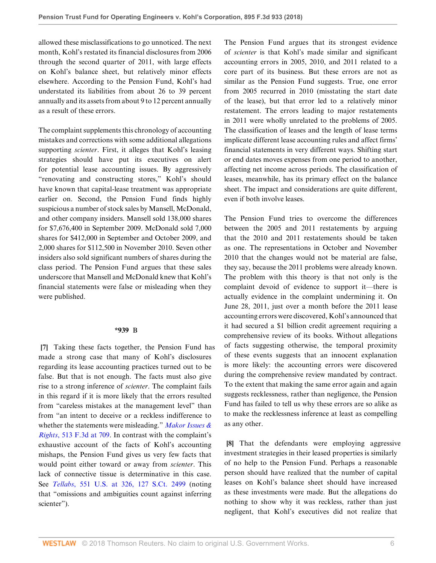allowed these misclassifications to go unnoticed. The next month, Kohl's restated its financial disclosures from 2006 through the second quarter of 2011, with large effects on Kohl's balance sheet, but relatively minor effects elsewhere. According to the Pension Fund, Kohl's had understated its liabilities from about 26 to 39 percent annually and its assets from about 9 to 12 percent annually as a result of these errors.

The complaint supplements this chronology of accounting mistakes and corrections with some additional allegations supporting *scienter*. First, it alleges that Kohl's leasing strategies should have put its executives on alert for potential lease accounting issues. By aggressively "renovating and constructing stores," Kohl's should have known that capital-lease treatment was appropriate earlier on. Second, the Pension Fund finds highly suspicious a number of stock sales by Mansell, McDonald, and other company insiders. Mansell sold 138,000 shares for \$7,676,400 in September 2009. McDonald sold 7,000 shares for \$412,000 in September and October 2009, and 2,000 shares for \$112,500 in November 2010. Seven other insiders also sold significant numbers of shares during the class period. The Pension Fund argues that these sales underscore that Mansell and McDonald knew that Kohl's financial statements were false or misleading when they were published.

#### **\*939** B

<span id="page-5-0"></span>**[\[7](#page-1-0)]** Taking these facts together, the Pension Fund has made a strong case that many of Kohl's disclosures regarding its lease accounting practices turned out to be false. But that is not enough. The facts must also give rise to a strong inference of *scienter*. The complaint fails in this regard if it is more likely that the errors resulted from "careless mistakes at the management level" than from "an intent to deceive or a reckless indifference to whether the statements were misleading." *[Makor Issues &](http://www.westlaw.com/Link/Document/FullText?findType=Y&serNum=2014754943&pubNum=0000506&originatingDoc=Ie706b960891b11e8a5b89e7029628dd3&refType=RP&fi=co_pp_sp_506_709&originationContext=document&vr=3.0&rs=cblt1.0&transitionType=DocumentItem&contextData=(sc.Search)#co_pp_sp_506_709) Rights*[, 513 F.3d at 709.](http://www.westlaw.com/Link/Document/FullText?findType=Y&serNum=2014754943&pubNum=0000506&originatingDoc=Ie706b960891b11e8a5b89e7029628dd3&refType=RP&fi=co_pp_sp_506_709&originationContext=document&vr=3.0&rs=cblt1.0&transitionType=DocumentItem&contextData=(sc.Search)#co_pp_sp_506_709) In contrast with the complaint's exhaustive account of the facts of Kohl's accounting mishaps, the Pension Fund gives us very few facts that would point either toward or away from *scienter*. This lack of connective tissue is determinative in this case. See *Tellabs*[, 551 U.S. at 326, 127 S.Ct. 2499](http://www.westlaw.com/Link/Document/FullText?findType=Y&serNum=2012518448&pubNum=0000708&originatingDoc=Ie706b960891b11e8a5b89e7029628dd3&refType=RP&originationContext=document&vr=3.0&rs=cblt1.0&transitionType=DocumentItem&contextData=(sc.Search)) (noting that "omissions and ambiguities count against inferring scienter").

WESTLAW © 2018 Thomson Reuters. No claim to original U.S. Government Works. 66

The Pension Fund argues that its strongest evidence of *scienter* is that Kohl's made similar and significant accounting errors in 2005, 2010, and 2011 related to a core part of its business. But these errors are not as similar as the Pension Fund suggests. True, one error from 2005 recurred in 2010 (misstating the start date of the lease), but that error led to a relatively minor restatement. The errors leading to major restatements in 2011 were wholly unrelated to the problems of 2005. The classification of leases and the length of lease terms implicate different lease accounting rules and affect firms' financial statements in very different ways. Shifting start or end dates moves expenses from one period to another, affecting net income across periods. The classification of leases, meanwhile, has its primary effect on the balance sheet. The impact and considerations are quite different, even if both involve leases.

The Pension Fund tries to overcome the differences between the 2005 and 2011 restatements by arguing that the 2010 and 2011 restatements should be taken as one. The representations in October and November 2010 that the changes would not be material are false, they say, because the 2011 problems were already known. The problem with this theory is that not only is the complaint devoid of evidence to support it—there is actually evidence in the complaint undermining it. On June 28, 2011, just over a month before the 2011 lease accounting errors were discovered, Kohl's announced that it had secured a \$1 billion credit agreement requiring a comprehensive review of its books. Without allegations of facts suggesting otherwise, the temporal proximity of these events suggests that an innocent explanation is more likely: the accounting errors were discovered during the comprehensive review mandated by contract. To the extent that making the same error again and again suggests recklessness, rather than negligence, the Pension Fund has failed to tell us why these errors are so alike as to make the recklessness inference at least as compelling as any other.

<span id="page-5-1"></span>**[\[8](#page-1-2)]** That the defendants were employing aggressive investment strategies in their leased properties is similarly of no help to the Pension Fund. Perhaps a reasonable person should have realized that the number of capital leases on Kohl's balance sheet should have increased as these investments were made. But the allegations do nothing to show why it was reckless, rather than just negligent, that Kohl's executives did not realize that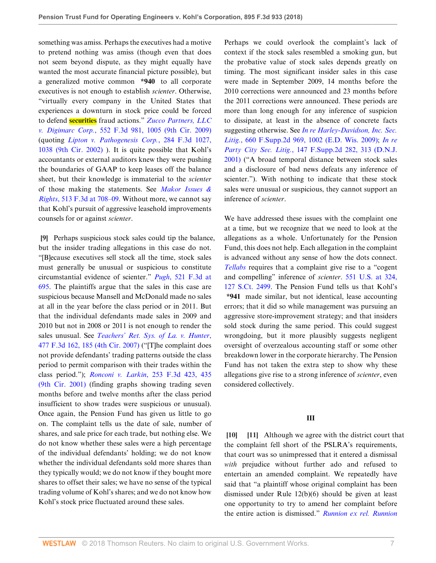something was amiss. Perhaps the executives had a motive to pretend nothing was amiss (though even that does not seem beyond dispute, as they might equally have wanted the most accurate financial picture possible), but a generalized motive common **\*940** to all corporate executives is not enough to establish *scienter*. Otherwise, "virtually every company in the United States that experiences a downturn in stock price could be forced to defend **securities** fraud actions." *[Zucco Partners, LLC](http://www.westlaw.com/Link/Document/FullText?findType=Y&serNum=2017861926&pubNum=0000506&originatingDoc=Ie706b960891b11e8a5b89e7029628dd3&refType=RP&fi=co_pp_sp_506_1005&originationContext=document&vr=3.0&rs=cblt1.0&transitionType=DocumentItem&contextData=(sc.Search)#co_pp_sp_506_1005) v. Digimarc Corp.*[, 552 F.3d 981, 1005 \(9th Cir. 2009\)](http://www.westlaw.com/Link/Document/FullText?findType=Y&serNum=2017861926&pubNum=0000506&originatingDoc=Ie706b960891b11e8a5b89e7029628dd3&refType=RP&fi=co_pp_sp_506_1005&originationContext=document&vr=3.0&rs=cblt1.0&transitionType=DocumentItem&contextData=(sc.Search)#co_pp_sp_506_1005) (quoting *[Lipton v. Pathogenesis Corp.](http://www.westlaw.com/Link/Document/FullText?findType=Y&serNum=2002196456&pubNum=0000506&originatingDoc=Ie706b960891b11e8a5b89e7029628dd3&refType=RP&fi=co_pp_sp_506_1038&originationContext=document&vr=3.0&rs=cblt1.0&transitionType=DocumentItem&contextData=(sc.Search)#co_pp_sp_506_1038)*, 284 F.3d 1027, [1038 \(9th Cir. 2002\)](http://www.westlaw.com/Link/Document/FullText?findType=Y&serNum=2002196456&pubNum=0000506&originatingDoc=Ie706b960891b11e8a5b89e7029628dd3&refType=RP&fi=co_pp_sp_506_1038&originationContext=document&vr=3.0&rs=cblt1.0&transitionType=DocumentItem&contextData=(sc.Search)#co_pp_sp_506_1038) ). It is quite possible that Kohl's accountants or external auditors knew they were pushing the boundaries of GAAP to keep leases off the balance sheet, but their knowledge is immaterial to the *scienter* of those making the statements. See *[Makor Issues &](http://www.westlaw.com/Link/Document/FullText?findType=Y&serNum=2014754943&pubNum=0000506&originatingDoc=Ie706b960891b11e8a5b89e7029628dd3&refType=RP&fi=co_pp_sp_506_708&originationContext=document&vr=3.0&rs=cblt1.0&transitionType=DocumentItem&contextData=(sc.Search)#co_pp_sp_506_708) Rights*[, 513 F.3d at 708–09.](http://www.westlaw.com/Link/Document/FullText?findType=Y&serNum=2014754943&pubNum=0000506&originatingDoc=Ie706b960891b11e8a5b89e7029628dd3&refType=RP&fi=co_pp_sp_506_708&originationContext=document&vr=3.0&rs=cblt1.0&transitionType=DocumentItem&contextData=(sc.Search)#co_pp_sp_506_708) Without more, we cannot say that Kohl's pursuit of aggressive leasehold improvements counsels for or against *scienter*.

<span id="page-6-0"></span>**[\[9](#page-1-3)]** Perhaps suspicious stock sales could tip the balance, but the insider trading allegations in this case do not. "[B]ecause executives sell stock all the time, stock sales must generally be unusual or suspicious to constitute circumstantial evidence of scienter." *Pugh*[, 521 F.3d at](http://www.westlaw.com/Link/Document/FullText?findType=Y&serNum=2015659094&pubNum=0000506&originatingDoc=Ie706b960891b11e8a5b89e7029628dd3&refType=RP&fi=co_pp_sp_506_695&originationContext=document&vr=3.0&rs=cblt1.0&transitionType=DocumentItem&contextData=(sc.Search)#co_pp_sp_506_695) [695](http://www.westlaw.com/Link/Document/FullText?findType=Y&serNum=2015659094&pubNum=0000506&originatingDoc=Ie706b960891b11e8a5b89e7029628dd3&refType=RP&fi=co_pp_sp_506_695&originationContext=document&vr=3.0&rs=cblt1.0&transitionType=DocumentItem&contextData=(sc.Search)#co_pp_sp_506_695). The plaintiffs argue that the sales in this case are suspicious because Mansell and McDonald made no sales at all in the year before the class period or in 2011. But that the individual defendants made sales in 2009 and 2010 but not in 2008 or 2011 is not enough to render the sales unusual. See *[Teachers' Ret. Sys. of La. v. Hunter](http://www.westlaw.com/Link/Document/FullText?findType=Y&serNum=2011492301&pubNum=0000506&originatingDoc=Ie706b960891b11e8a5b89e7029628dd3&refType=RP&fi=co_pp_sp_506_185&originationContext=document&vr=3.0&rs=cblt1.0&transitionType=DocumentItem&contextData=(sc.Search)#co_pp_sp_506_185)*, [477 F.3d 162, 185 \(4th Cir. 2007\)](http://www.westlaw.com/Link/Document/FullText?findType=Y&serNum=2011492301&pubNum=0000506&originatingDoc=Ie706b960891b11e8a5b89e7029628dd3&refType=RP&fi=co_pp_sp_506_185&originationContext=document&vr=3.0&rs=cblt1.0&transitionType=DocumentItem&contextData=(sc.Search)#co_pp_sp_506_185) ("[T]he complaint does not provide defendants' trading patterns outside the class period to permit comparison with their trades within the class period."); *Ronconi v. Larkin*[, 253 F.3d 423, 435](http://www.westlaw.com/Link/Document/FullText?findType=Y&serNum=2001485478&pubNum=0000506&originatingDoc=Ie706b960891b11e8a5b89e7029628dd3&refType=RP&fi=co_pp_sp_506_435&originationContext=document&vr=3.0&rs=cblt1.0&transitionType=DocumentItem&contextData=(sc.Search)#co_pp_sp_506_435) [\(9th Cir. 2001\)](http://www.westlaw.com/Link/Document/FullText?findType=Y&serNum=2001485478&pubNum=0000506&originatingDoc=Ie706b960891b11e8a5b89e7029628dd3&refType=RP&fi=co_pp_sp_506_435&originationContext=document&vr=3.0&rs=cblt1.0&transitionType=DocumentItem&contextData=(sc.Search)#co_pp_sp_506_435) (finding graphs showing trading seven months before and twelve months after the class period insufficient to show trades were suspicious or unusual). Once again, the Pension Fund has given us little to go on. The complaint tells us the date of sale, number of shares, and sale price for each trade, but nothing else. We do not know whether these sales were a high percentage of the individual defendants' holding; we do not know whether the individual defendants sold more shares than they typically would; we do not know if they bought more shares to offset their sales; we have no sense of the typical trading volume of Kohl's shares; and we do not know how Kohl's stock price fluctuated around these sales.

Perhaps we could overlook the complaint's lack of context if the stock sales resembled a smoking gun, but the probative value of stock sales depends greatly on timing. The most significant insider sales in this case were made in September 2009, 14 months before the 2010 corrections were announced and 23 months before the 2011 corrections were announced. These periods are more than long enough for any inference of suspicion to dissipate, at least in the absence of concrete facts suggesting otherwise. See *[In re Harley-Davidson, Inc. Sec.](http://www.westlaw.com/Link/Document/FullText?findType=Y&serNum=2020067701&pubNum=0004637&originatingDoc=Ie706b960891b11e8a5b89e7029628dd3&refType=RP&fi=co_pp_sp_4637_1002&originationContext=document&vr=3.0&rs=cblt1.0&transitionType=DocumentItem&contextData=(sc.Search)#co_pp_sp_4637_1002) Litig.*[, 660 F.Supp.2d 969, 1002 \(E.D. Wis. 2009\);](http://www.westlaw.com/Link/Document/FullText?findType=Y&serNum=2020067701&pubNum=0004637&originatingDoc=Ie706b960891b11e8a5b89e7029628dd3&refType=RP&fi=co_pp_sp_4637_1002&originationContext=document&vr=3.0&rs=cblt1.0&transitionType=DocumentItem&contextData=(sc.Search)#co_pp_sp_4637_1002) *[In re](http://www.westlaw.com/Link/Document/FullText?findType=Y&serNum=2001553619&pubNum=0004637&originatingDoc=Ie706b960891b11e8a5b89e7029628dd3&refType=RP&fi=co_pp_sp_4637_313&originationContext=document&vr=3.0&rs=cblt1.0&transitionType=DocumentItem&contextData=(sc.Search)#co_pp_sp_4637_313) Party City Sec. Litig.*[, 147 F.Supp.2d 282, 313 \(D.N.J.](http://www.westlaw.com/Link/Document/FullText?findType=Y&serNum=2001553619&pubNum=0004637&originatingDoc=Ie706b960891b11e8a5b89e7029628dd3&refType=RP&fi=co_pp_sp_4637_313&originationContext=document&vr=3.0&rs=cblt1.0&transitionType=DocumentItem&contextData=(sc.Search)#co_pp_sp_4637_313) [2001\)](http://www.westlaw.com/Link/Document/FullText?findType=Y&serNum=2001553619&pubNum=0004637&originatingDoc=Ie706b960891b11e8a5b89e7029628dd3&refType=RP&fi=co_pp_sp_4637_313&originationContext=document&vr=3.0&rs=cblt1.0&transitionType=DocumentItem&contextData=(sc.Search)#co_pp_sp_4637_313) ("A broad temporal distance between stock sales and a disclosure of bad news defeats any inference of scienter."). With nothing to indicate that these stock sales were unusual or suspicious, they cannot support an inference of *scienter*.

We have addressed these issues with the complaint one at a time, but we recognize that we need to look at the allegations as a whole. Unfortunately for the Pension Fund, this does not help. Each allegation in the complaint is advanced without any sense of how the dots connect. *[Tellabs](http://www.westlaw.com/Link/Document/FullText?findType=Y&serNum=2012518448&pubNum=0000780&originatingDoc=Ie706b960891b11e8a5b89e7029628dd3&refType=RP&originationContext=document&vr=3.0&rs=cblt1.0&transitionType=DocumentItem&contextData=(sc.Search))* requires that a complaint give rise to a "cogent and compelling" inference of *scienter*. [551 U.S. at 324,](http://www.westlaw.com/Link/Document/FullText?findType=Y&serNum=2012518448&pubNum=0000708&originatingDoc=Ie706b960891b11e8a5b89e7029628dd3&refType=RP&originationContext=document&vr=3.0&rs=cblt1.0&transitionType=DocumentItem&contextData=(sc.Search)) [127 S.Ct. 2499.](http://www.westlaw.com/Link/Document/FullText?findType=Y&serNum=2012518448&pubNum=0000708&originatingDoc=Ie706b960891b11e8a5b89e7029628dd3&refType=RP&originationContext=document&vr=3.0&rs=cblt1.0&transitionType=DocumentItem&contextData=(sc.Search)) The Pension Fund tells us that Kohl's **\*941** made similar, but not identical, lease accounting errors; that it did so while management was pursuing an aggressive store-improvement strategy; and that insiders sold stock during the same period. This could suggest wrongdoing, but it more plausibly suggests negligent oversight of overzealous accounting staff or some other breakdown lower in the corporate hierarchy. The Pension Fund has not taken the extra step to show why these allegations give rise to a strong inference of *scienter*, even considered collectively.

# **III**

<span id="page-6-2"></span><span id="page-6-1"></span>**[\[10](#page-1-4)] [\[11](#page-2-0)]** Although we agree with the district court that the complaint fell short of the PSLRA's requirements, that court was so unimpressed that it entered a dismissal *with* prejudice without further ado and refused to entertain an amended complaint. We repeatedly have said that "a plaintiff whose original complaint has been dismissed under Rule 12(b)(6) should be given at least one opportunity to try to amend her complaint before the entire action is dismissed." *[Runnion ex rel. Runnion](http://www.westlaw.com/Link/Document/FullText?findType=Y&serNum=2036247079&pubNum=0000506&originatingDoc=Ie706b960891b11e8a5b89e7029628dd3&refType=RP&fi=co_pp_sp_506_519&originationContext=document&vr=3.0&rs=cblt1.0&transitionType=DocumentItem&contextData=(sc.Search)#co_pp_sp_506_519)*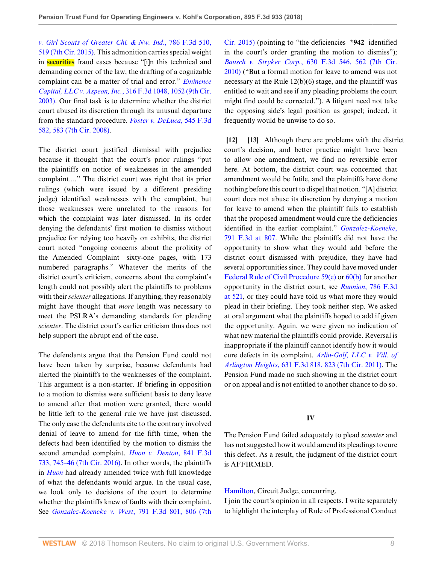*[v. Girl Scouts of Greater Chi. & Nw. Ind.](http://www.westlaw.com/Link/Document/FullText?findType=Y&serNum=2036247079&pubNum=0000506&originatingDoc=Ie706b960891b11e8a5b89e7029628dd3&refType=RP&fi=co_pp_sp_506_519&originationContext=document&vr=3.0&rs=cblt1.0&transitionType=DocumentItem&contextData=(sc.Search)#co_pp_sp_506_519)*, 786 F.3d 510, [519 \(7th Cir. 2015\).](http://www.westlaw.com/Link/Document/FullText?findType=Y&serNum=2036247079&pubNum=0000506&originatingDoc=Ie706b960891b11e8a5b89e7029628dd3&refType=RP&fi=co_pp_sp_506_519&originationContext=document&vr=3.0&rs=cblt1.0&transitionType=DocumentItem&contextData=(sc.Search)#co_pp_sp_506_519) This admonition carries special weight in **securities** fraud cases because "[i]n this technical and demanding corner of the law, the drafting of a cognizable complaint can be a matter of trial and error." *[Eminence](http://www.westlaw.com/Link/Document/FullText?findType=Y&serNum=2003092350&pubNum=0000506&originatingDoc=Ie706b960891b11e8a5b89e7029628dd3&refType=RP&fi=co_pp_sp_506_1052&originationContext=document&vr=3.0&rs=cblt1.0&transitionType=DocumentItem&contextData=(sc.Search)#co_pp_sp_506_1052) Capital, LLC v. Aspeon, Inc.*[, 316 F.3d 1048, 1052 \(9th Cir.](http://www.westlaw.com/Link/Document/FullText?findType=Y&serNum=2003092350&pubNum=0000506&originatingDoc=Ie706b960891b11e8a5b89e7029628dd3&refType=RP&fi=co_pp_sp_506_1052&originationContext=document&vr=3.0&rs=cblt1.0&transitionType=DocumentItem&contextData=(sc.Search)#co_pp_sp_506_1052) [2003\)](http://www.westlaw.com/Link/Document/FullText?findType=Y&serNum=2003092350&pubNum=0000506&originatingDoc=Ie706b960891b11e8a5b89e7029628dd3&refType=RP&fi=co_pp_sp_506_1052&originationContext=document&vr=3.0&rs=cblt1.0&transitionType=DocumentItem&contextData=(sc.Search)#co_pp_sp_506_1052). Our final task is to determine whether the district court abused its discretion through its unusual departure from the standard procedure. *[Foster v. DeLuca](http://www.westlaw.com/Link/Document/FullText?findType=Y&serNum=2017153680&pubNum=0000506&originatingDoc=Ie706b960891b11e8a5b89e7029628dd3&refType=RP&fi=co_pp_sp_506_583&originationContext=document&vr=3.0&rs=cblt1.0&transitionType=DocumentItem&contextData=(sc.Search)#co_pp_sp_506_583)*, 545 F.3d [582, 583 \(7th Cir. 2008\).](http://www.westlaw.com/Link/Document/FullText?findType=Y&serNum=2017153680&pubNum=0000506&originatingDoc=Ie706b960891b11e8a5b89e7029628dd3&refType=RP&fi=co_pp_sp_506_583&originationContext=document&vr=3.0&rs=cblt1.0&transitionType=DocumentItem&contextData=(sc.Search)#co_pp_sp_506_583)

The district court justified dismissal with prejudice because it thought that the court's prior rulings "put the plaintiffs on notice of weaknesses in the amended complaint...." The district court was right that its prior rulings (which were issued by a different presiding judge) identified weaknesses with the complaint, but those weaknesses were unrelated to the reasons for which the complaint was later dismissed. In its order denying the defendants' first motion to dismiss without prejudice for relying too heavily on exhibits, the district court noted "ongoing concerns about the prolixity of the Amended Complaint—sixty-one pages, with 173 numbered paragraphs." Whatever the merits of the district court's criticism, concerns about the complaint's length could not possibly alert the plaintiffs to problems with their *scienter* allegations. If anything, they reasonably might have thought that *more* length was necessary to meet the PSLRA's demanding standards for pleading *scienter*. The district court's earlier criticism thus does not help support the abrupt end of the case.

The defendants argue that the Pension Fund could not have been taken by surprise, because defendants had alerted the plaintiffs to the weaknesses of the complaint. This argument is a non-starter. If briefing in opposition to a motion to dismiss were sufficient basis to deny leave to amend after that motion were granted, there would be little left to the general rule we have just discussed. The only case the defendants cite to the contrary involved denial of leave to amend for the fifth time, when the defects had been identified by the motion to dismiss the second amended complaint. *[Huon v. Denton](http://www.westlaw.com/Link/Document/FullText?findType=Y&serNum=2040295965&pubNum=0000506&originatingDoc=Ie706b960891b11e8a5b89e7029628dd3&refType=RP&fi=co_pp_sp_506_745&originationContext=document&vr=3.0&rs=cblt1.0&transitionType=DocumentItem&contextData=(sc.Search)#co_pp_sp_506_745)*, 841 F.3d [733, 745–46 \(7th Cir. 2016\)](http://www.westlaw.com/Link/Document/FullText?findType=Y&serNum=2040295965&pubNum=0000506&originatingDoc=Ie706b960891b11e8a5b89e7029628dd3&refType=RP&fi=co_pp_sp_506_745&originationContext=document&vr=3.0&rs=cblt1.0&transitionType=DocumentItem&contextData=(sc.Search)#co_pp_sp_506_745). In other words, the plaintiffs in *[Huon](http://www.westlaw.com/Link/Document/FullText?findType=Y&serNum=2040295965&pubNum=0000506&originatingDoc=Ie706b960891b11e8a5b89e7029628dd3&refType=RP&originationContext=document&vr=3.0&rs=cblt1.0&transitionType=DocumentItem&contextData=(sc.Search))* had already amended twice with full knowledge of what the defendants would argue. In the usual case, we look only to decisions of the court to determine whether the plaintiffs knew of faults with their complaint. See *[Gonzalez-Koeneke v. West](http://www.westlaw.com/Link/Document/FullText?findType=Y&serNum=2036588714&pubNum=0000506&originatingDoc=Ie706b960891b11e8a5b89e7029628dd3&refType=RP&fi=co_pp_sp_506_806&originationContext=document&vr=3.0&rs=cblt1.0&transitionType=DocumentItem&contextData=(sc.Search)#co_pp_sp_506_806)*, 791 F.3d 801, 806 (7th

[Cir. 2015\)](http://www.westlaw.com/Link/Document/FullText?findType=Y&serNum=2036588714&pubNum=0000506&originatingDoc=Ie706b960891b11e8a5b89e7029628dd3&refType=RP&fi=co_pp_sp_506_806&originationContext=document&vr=3.0&rs=cblt1.0&transitionType=DocumentItem&contextData=(sc.Search)#co_pp_sp_506_806) (pointing to "the deficiencies **\*942** identified in the court's order granting the motion to dismiss"); *Bausch v. Stryker Corp.*[, 630 F.3d 546, 562 \(7th Cir.](http://www.westlaw.com/Link/Document/FullText?findType=Y&serNum=2024180521&pubNum=0000506&originatingDoc=Ie706b960891b11e8a5b89e7029628dd3&refType=RP&fi=co_pp_sp_506_562&originationContext=document&vr=3.0&rs=cblt1.0&transitionType=DocumentItem&contextData=(sc.Search)#co_pp_sp_506_562) [2010\)](http://www.westlaw.com/Link/Document/FullText?findType=Y&serNum=2024180521&pubNum=0000506&originatingDoc=Ie706b960891b11e8a5b89e7029628dd3&refType=RP&fi=co_pp_sp_506_562&originationContext=document&vr=3.0&rs=cblt1.0&transitionType=DocumentItem&contextData=(sc.Search)#co_pp_sp_506_562) ("But a formal motion for leave to amend was not necessary at the Rule 12(b)(6) stage, and the plaintiff was entitled to wait and see if any pleading problems the court might find could be corrected."). A litigant need not take the opposing side's legal position as gospel; indeed, it frequently would be unwise to do so.

<span id="page-7-1"></span><span id="page-7-0"></span>**[\[12](#page-2-1)] [\[13](#page-2-2)]** Although there are problems with the district court's decision, and better practice might have been to allow one amendment, we find no reversible error here. At bottom, the district court was concerned that amendment would be futile, and the plaintiffs have done nothing before this court to dispel that notion. "[A] district court does not abuse its discretion by denying a motion for leave to amend when the plaintiff fails to establish that the proposed amendment would cure the deficiencies identified in the earlier complaint." *[Gonzalez-Koeneke](http://www.westlaw.com/Link/Document/FullText?findType=Y&serNum=2036588714&pubNum=0000506&originatingDoc=Ie706b960891b11e8a5b89e7029628dd3&refType=RP&fi=co_pp_sp_506_807&originationContext=document&vr=3.0&rs=cblt1.0&transitionType=DocumentItem&contextData=(sc.Search)#co_pp_sp_506_807)*, [791 F.3d at 807.](http://www.westlaw.com/Link/Document/FullText?findType=Y&serNum=2036588714&pubNum=0000506&originatingDoc=Ie706b960891b11e8a5b89e7029628dd3&refType=RP&fi=co_pp_sp_506_807&originationContext=document&vr=3.0&rs=cblt1.0&transitionType=DocumentItem&contextData=(sc.Search)#co_pp_sp_506_807) While the plaintiffs did not have the opportunity to show what they would add before the district court dismissed with prejudice, they have had several opportunities since. They could have moved under [Federal Rule of Civil Procedure 59\(e\)](http://www.westlaw.com/Link/Document/FullText?findType=L&pubNum=1000600&cite=USFRCPR59&originatingDoc=Ie706b960891b11e8a5b89e7029628dd3&refType=LQ&originationContext=document&vr=3.0&rs=cblt1.0&transitionType=DocumentItem&contextData=(sc.Search)) or [60\(b\)](http://www.westlaw.com/Link/Document/FullText?findType=L&pubNum=1000600&cite=USFRCPR60&originatingDoc=Ie706b960891b11e8a5b89e7029628dd3&refType=LQ&originationContext=document&vr=3.0&rs=cblt1.0&transitionType=DocumentItem&contextData=(sc.Search)) for another opportunity in the district court, see *Runnion*[, 786 F.3d](http://www.westlaw.com/Link/Document/FullText?findType=Y&serNum=2036247079&pubNum=0000506&originatingDoc=Ie706b960891b11e8a5b89e7029628dd3&refType=RP&fi=co_pp_sp_506_521&originationContext=document&vr=3.0&rs=cblt1.0&transitionType=DocumentItem&contextData=(sc.Search)#co_pp_sp_506_521) [at 521](http://www.westlaw.com/Link/Document/FullText?findType=Y&serNum=2036247079&pubNum=0000506&originatingDoc=Ie706b960891b11e8a5b89e7029628dd3&refType=RP&fi=co_pp_sp_506_521&originationContext=document&vr=3.0&rs=cblt1.0&transitionType=DocumentItem&contextData=(sc.Search)#co_pp_sp_506_521), or they could have told us what more they would plead in their briefing. They took neither step. We asked at oral argument what the plaintiffs hoped to add if given the opportunity. Again, we were given no indication of what new material the plaintiffs could provide. Reversal is inappropriate if the plaintiff cannot identify how it would cure defects in its complaint. *[Arlin-Golf, LLC v. Vill. of](http://www.westlaw.com/Link/Document/FullText?findType=Y&serNum=2024434806&pubNum=0000506&originatingDoc=Ie706b960891b11e8a5b89e7029628dd3&refType=RP&fi=co_pp_sp_506_823&originationContext=document&vr=3.0&rs=cblt1.0&transitionType=DocumentItem&contextData=(sc.Search)#co_pp_sp_506_823) Arlington Heights*[, 631 F.3d 818, 823 \(7th Cir. 2011\)](http://www.westlaw.com/Link/Document/FullText?findType=Y&serNum=2024434806&pubNum=0000506&originatingDoc=Ie706b960891b11e8a5b89e7029628dd3&refType=RP&fi=co_pp_sp_506_823&originationContext=document&vr=3.0&rs=cblt1.0&transitionType=DocumentItem&contextData=(sc.Search)#co_pp_sp_506_823). The Pension Fund made no such showing in the district court or on appeal and is not entitled to another chance to do so.

## **IV**

The Pension Fund failed adequately to plead *scienter* and has not suggested how it would amend its pleadings to cure this defect. As a result, the judgment of the district court is AFFIRMED.

[Hamilton](http://www.westlaw.com/Link/Document/FullText?findType=h&pubNum=176284&cite=0184945601&originatingDoc=Ie706b960891b11e8a5b89e7029628dd3&refType=RQ&originationContext=document&vr=3.0&rs=cblt1.0&transitionType=DocumentItem&contextData=(sc.Search)), Circuit Judge, concurring.

I join the court's opinion in all respects. I write separately to highlight the interplay of Rule of Professional Conduct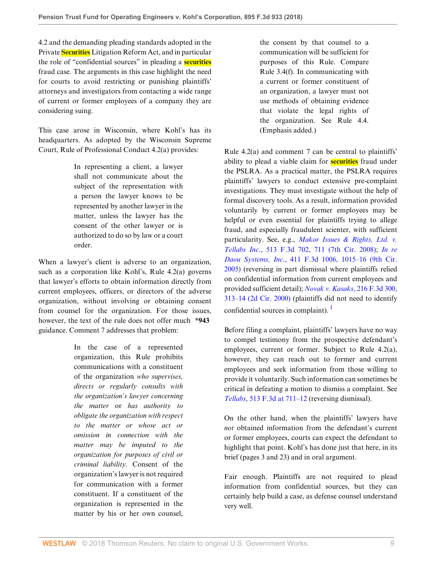4.2 and the demanding pleading standards adopted in the Private **Securities** Litigation Reform Act, and in particular the role of "confidential sources" in pleading a **securities** fraud case. The arguments in this case highlight the need for courts to avoid restricting or punishing plaintiffs' attorneys and investigators from contacting a wide range of current or former employees of a company they are considering suing.

This case arose in Wisconsin, where Kohl's has its headquarters. As adopted by the Wisconsin Supreme Court, Rule of Professional Conduct 4.2(a) provides:

> In representing a client, a lawyer shall not communicate about the subject of the representation with a person the lawyer knows to be represented by another lawyer in the matter, unless the lawyer has the consent of the other lawyer or is authorized to do so by law or a court order.

When a lawyer's client is adverse to an organization, such as a corporation like Kohl's, Rule 4.2(a) governs that lawyer's efforts to obtain information directly from current employees, officers, or directors of the adverse organization, without involving or obtaining consent from counsel for the organization. For those issues, however, the text of the rule does not offer much **\*943** guidance. Comment 7 addresses that problem:

> In the case of a represented organization, this Rule prohibits communications with a constituent of the organization *who supervises, directs or regularly consults with the organization's lawyer concerning the matter* or *has authority to obligate the organization with respect to the matter or whose act or omission in connection with the matter may be imputed to the organization for purposes of civil or criminal liability*. Consent of the organization's lawyer is not required for communication with a former constituent. If a constituent of the organization is represented in the matter by his or her own counsel,

the consent by that counsel to a communication will be sufficient for purposes of this Rule. Compare Rule 3.4(f). In communicating with a current or former constituent of an organization, a lawyer must not use methods of obtaining evidence that violate the legal rights of the organization. See Rule 4.4. (Emphasis added.)

Rule 4.2(a) and comment 7 can be central to plaintiffs' ability to plead a viable claim for **securities** fraud under the PSLRA. As a practical matter, the PSLRA requires plaintiffs' lawyers to conduct extensive pre-complaint investigations. They must investigate without the help of formal discovery tools. As a result, information provided voluntarily by current or former employees may be helpful or even essential for plaintiffs trying to allege fraud, and especially fraudulent scienter, with sufficient particularity. See, e.g., *[Makor Issues & Rights, Ltd. v.](http://www.westlaw.com/Link/Document/FullText?findType=Y&serNum=2014754943&pubNum=0000506&originatingDoc=Ie706b960891b11e8a5b89e7029628dd3&refType=RP&fi=co_pp_sp_506_711&originationContext=document&vr=3.0&rs=cblt1.0&transitionType=DocumentItem&contextData=(sc.Search)#co_pp_sp_506_711) Tellabs Inc*[., 513 F.3d 702, 711 \(7th Cir. 2008\)](http://www.westlaw.com/Link/Document/FullText?findType=Y&serNum=2014754943&pubNum=0000506&originatingDoc=Ie706b960891b11e8a5b89e7029628dd3&refType=RP&fi=co_pp_sp_506_711&originationContext=document&vr=3.0&rs=cblt1.0&transitionType=DocumentItem&contextData=(sc.Search)#co_pp_sp_506_711); *[In re](http://www.westlaw.com/Link/Document/FullText?findType=Y&serNum=2006824880&pubNum=0000506&originatingDoc=Ie706b960891b11e8a5b89e7029628dd3&refType=RP&fi=co_pp_sp_506_1015&originationContext=document&vr=3.0&rs=cblt1.0&transitionType=DocumentItem&contextData=(sc.Search)#co_pp_sp_506_1015) Daou Systems, Inc*[., 411 F.3d 1006, 1015–16 \(9th Cir.](http://www.westlaw.com/Link/Document/FullText?findType=Y&serNum=2006824880&pubNum=0000506&originatingDoc=Ie706b960891b11e8a5b89e7029628dd3&refType=RP&fi=co_pp_sp_506_1015&originationContext=document&vr=3.0&rs=cblt1.0&transitionType=DocumentItem&contextData=(sc.Search)#co_pp_sp_506_1015) [2005\)](http://www.westlaw.com/Link/Document/FullText?findType=Y&serNum=2006824880&pubNum=0000506&originatingDoc=Ie706b960891b11e8a5b89e7029628dd3&refType=RP&fi=co_pp_sp_506_1015&originationContext=document&vr=3.0&rs=cblt1.0&transitionType=DocumentItem&contextData=(sc.Search)#co_pp_sp_506_1015) (reversing in part dismissal where plaintiffs relied on confidential information from current employees and provided sufficient detail); *[Novak v. Kasaks](http://www.westlaw.com/Link/Document/FullText?findType=Y&serNum=2000385476&pubNum=0000506&originatingDoc=Ie706b960891b11e8a5b89e7029628dd3&refType=RP&fi=co_pp_sp_506_313&originationContext=document&vr=3.0&rs=cblt1.0&transitionType=DocumentItem&contextData=(sc.Search)#co_pp_sp_506_313)*, 216 F.3d 300, [313–14 \(2d Cir. 2000\)](http://www.westlaw.com/Link/Document/FullText?findType=Y&serNum=2000385476&pubNum=0000506&originatingDoc=Ie706b960891b11e8a5b89e7029628dd3&refType=RP&fi=co_pp_sp_506_313&originationContext=document&vr=3.0&rs=cblt1.0&transitionType=DocumentItem&contextData=(sc.Search)#co_pp_sp_506_313) (plaintiffs did not need to identify confidential sources in complaint).  $\frac{1}{1}$  $\frac{1}{1}$  $\frac{1}{1}$ 

<span id="page-8-0"></span>Before filing a complaint, plaintiffs' lawyers have no way to compel testimony from the prospective defendant's employees, current or former. Subject to Rule 4.2(a), however, they can reach out to former and current employees and seek information from those willing to provide it voluntarily. Such information can sometimes be critical in defeating a motion to dismiss a complaint. See *Tellabs*[, 513 F.3d at 711–12](http://www.westlaw.com/Link/Document/FullText?findType=Y&serNum=2014754943&pubNum=0000506&originatingDoc=Ie706b960891b11e8a5b89e7029628dd3&refType=RP&fi=co_pp_sp_506_711&originationContext=document&vr=3.0&rs=cblt1.0&transitionType=DocumentItem&contextData=(sc.Search)#co_pp_sp_506_711) (reversing dismissal).

On the other hand, when the plaintiffs' lawyers have *not* obtained information from the defendant's current or former employees, courts can expect the defendant to highlight that point. Kohl's has done just that here, in its brief (pages 3 and 23) and in oral argument.

Fair enough. Plaintiffs are not required to plead information from confidential sources, but they can certainly help build a case, as defense counsel understand very well.